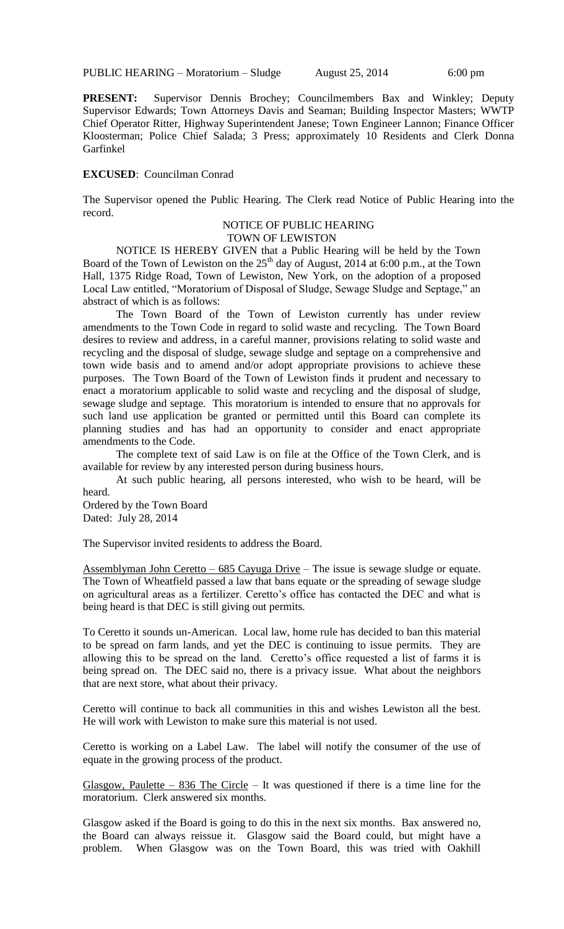**PRESENT:** Supervisor Dennis Brochey; Councilmembers Bax and Winkley; Deputy Supervisor Edwards; Town Attorneys Davis and Seaman; Building Inspector Masters; WWTP Chief Operator Ritter, Highway Superintendent Janese; Town Engineer Lannon; Finance Officer Kloosterman; Police Chief Salada; 3 Press; approximately 10 Residents and Clerk Donna Garfinkel

#### **EXCUSED**: Councilman Conrad

The Supervisor opened the Public Hearing. The Clerk read Notice of Public Hearing into the record.

# NOTICE OF PUBLIC HEARING

TOWN OF LEWISTON

NOTICE IS HEREBY GIVEN that a Public Hearing will be held by the Town Board of the Town of Lewiston on the  $25<sup>th</sup>$  day of August, 2014 at 6:00 p.m., at the Town Hall, 1375 Ridge Road, Town of Lewiston, New York, on the adoption of a proposed Local Law entitled, "Moratorium of Disposal of Sludge, Sewage Sludge and Septage," an abstract of which is as follows:

The Town Board of the Town of Lewiston currently has under review amendments to the Town Code in regard to solid waste and recycling. The Town Board desires to review and address, in a careful manner, provisions relating to solid waste and recycling and the disposal of sludge, sewage sludge and septage on a comprehensive and town wide basis and to amend and/or adopt appropriate provisions to achieve these purposes. The Town Board of the Town of Lewiston finds it prudent and necessary to enact a moratorium applicable to solid waste and recycling and the disposal of sludge, sewage sludge and septage. This moratorium is intended to ensure that no approvals for such land use application be granted or permitted until this Board can complete its planning studies and has had an opportunity to consider and enact appropriate amendments to the Code.

The complete text of said Law is on file at the Office of the Town Clerk, and is available for review by any interested person during business hours.

At such public hearing, all persons interested, who wish to be heard, will be heard.

Ordered by the Town Board Dated: July 28, 2014

The Supervisor invited residents to address the Board.

Assemblyman John Ceretto – 685 Cayuga Drive – The issue is sewage sludge or equate. The Town of Wheatfield passed a law that bans equate or the spreading of sewage sludge on agricultural areas as a fertilizer. Ceretto's office has contacted the DEC and what is being heard is that DEC is still giving out permits.

To Ceretto it sounds un-American. Local law, home rule has decided to ban this material to be spread on farm lands, and yet the DEC is continuing to issue permits. They are allowing this to be spread on the land. Ceretto's office requested a list of farms it is being spread on. The DEC said no, there is a privacy issue. What about the neighbors that are next store, what about their privacy.

Ceretto will continue to back all communities in this and wishes Lewiston all the best. He will work with Lewiston to make sure this material is not used.

Ceretto is working on a Label Law. The label will notify the consumer of the use of equate in the growing process of the product.

Glasgow, Paulette – 836 The Circle – It was questioned if there is a time line for the moratorium. Clerk answered six months.

Glasgow asked if the Board is going to do this in the next six months. Bax answered no, the Board can always reissue it. Glasgow said the Board could, but might have a problem. When Glasgow was on the Town Board, this was tried with Oakhill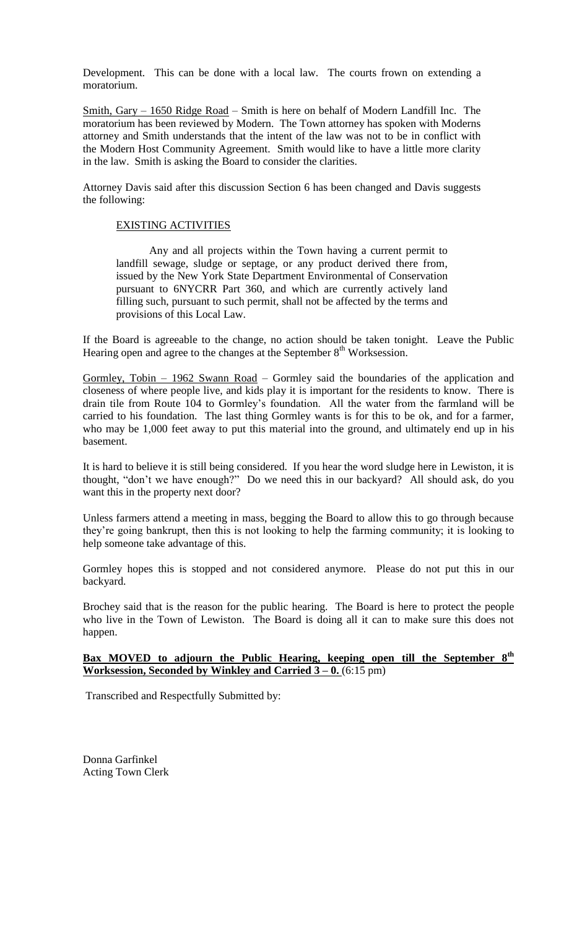Development. This can be done with a local law. The courts frown on extending a moratorium.

Smith, Gary – 1650 Ridge Road – Smith is here on behalf of Modern Landfill Inc. The moratorium has been reviewed by Modern. The Town attorney has spoken with Moderns attorney and Smith understands that the intent of the law was not to be in conflict with the Modern Host Community Agreement. Smith would like to have a little more clarity in the law. Smith is asking the Board to consider the clarities.

Attorney Davis said after this discussion Section 6 has been changed and Davis suggests the following:

## EXISTING ACTIVITIES

Any and all projects within the Town having a current permit to landfill sewage, sludge or septage, or any product derived there from, issued by the New York State Department Environmental of Conservation pursuant to 6NYCRR Part 360, and which are currently actively land filling such, pursuant to such permit, shall not be affected by the terms and provisions of this Local Law.

If the Board is agreeable to the change, no action should be taken tonight. Leave the Public Hearing open and agree to the changes at the September  $8<sup>th</sup>$  Worksession.

Gormley, Tobin - 1962 Swann Road - Gormley said the boundaries of the application and closeness of where people live, and kids play it is important for the residents to know. There is drain tile from Route 104 to Gormley's foundation. All the water from the farmland will be carried to his foundation. The last thing Gormley wants is for this to be ok, and for a farmer, who may be 1,000 feet away to put this material into the ground, and ultimately end up in his basement.

It is hard to believe it is still being considered. If you hear the word sludge here in Lewiston, it is thought, "don't we have enough?" Do we need this in our backyard? All should ask, do you want this in the property next door?

Unless farmers attend a meeting in mass, begging the Board to allow this to go through because they're going bankrupt, then this is not looking to help the farming community; it is looking to help someone take advantage of this.

Gormley hopes this is stopped and not considered anymore. Please do not put this in our backyard.

Brochey said that is the reason for the public hearing. The Board is here to protect the people who live in the Town of Lewiston. The Board is doing all it can to make sure this does not happen.

#### **Bax MOVED to adjourn the Public Hearing, keeping open till the September 8th Worksession, Seconded by Winkley and Carried 3 – 0.** (6:15 pm)

Transcribed and Respectfully Submitted by:

Donna Garfinkel Acting Town Clerk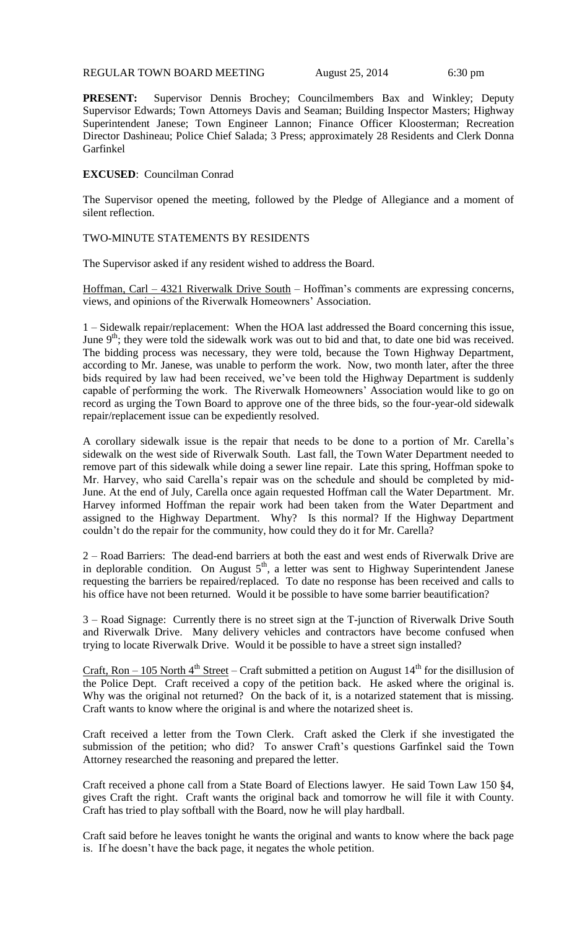REGULAR TOWN BOARD MEETING August 25, 2014 6:30 pm

**PRESENT:** Supervisor Dennis Brochey; Councilmembers Bax and Winkley; Deputy Supervisor Edwards; Town Attorneys Davis and Seaman; Building Inspector Masters; Highway Superintendent Janese; Town Engineer Lannon; Finance Officer Kloosterman; Recreation Director Dashineau; Police Chief Salada; 3 Press; approximately 28 Residents and Clerk Donna Garfinkel

## **EXCUSED**: Councilman Conrad

The Supervisor opened the meeting, followed by the Pledge of Allegiance and a moment of silent reflection.

## TWO-MINUTE STATEMENTS BY RESIDENTS

The Supervisor asked if any resident wished to address the Board.

Hoffman, Carl – 4321 Riverwalk Drive South – Hoffman's comments are expressing concerns, views, and opinions of the Riverwalk Homeowners' Association.

1 – Sidewalk repair/replacement: When the HOA last addressed the Board concerning this issue, June 9<sup>th</sup>; they were told the sidewalk work was out to bid and that, to date one bid was received. The bidding process was necessary, they were told, because the Town Highway Department, according to Mr. Janese, was unable to perform the work. Now, two month later, after the three bids required by law had been received, we've been told the Highway Department is suddenly capable of performing the work. The Riverwalk Homeowners' Association would like to go on record as urging the Town Board to approve one of the three bids, so the four-year-old sidewalk repair/replacement issue can be expediently resolved.

A corollary sidewalk issue is the repair that needs to be done to a portion of Mr. Carella's sidewalk on the west side of Riverwalk South. Last fall, the Town Water Department needed to remove part of this sidewalk while doing a sewer line repair. Late this spring, Hoffman spoke to Mr. Harvey, who said Carella's repair was on the schedule and should be completed by mid-June. At the end of July, Carella once again requested Hoffman call the Water Department. Mr. Harvey informed Hoffman the repair work had been taken from the Water Department and assigned to the Highway Department. Why? Is this normal? If the Highway Department couldn't do the repair for the community, how could they do it for Mr. Carella?

2 – Road Barriers: The dead-end barriers at both the east and west ends of Riverwalk Drive are in deplorable condition. On August  $5<sup>th</sup>$ , a letter was sent to Highway Superintendent Janese requesting the barriers be repaired/replaced. To date no response has been received and calls to his office have not been returned. Would it be possible to have some barrier beautification?

3 – Road Signage: Currently there is no street sign at the T-junction of Riverwalk Drive South and Riverwalk Drive. Many delivery vehicles and contractors have become confused when trying to locate Riverwalk Drive. Would it be possible to have a street sign installed?

Craft, Ron – 105 North  $4^{th}$  Street – Craft submitted a petition on August  $14^{th}$  for the disillusion of the Police Dept. Craft received a copy of the petition back. He asked where the original is. Why was the original not returned? On the back of it, is a notarized statement that is missing. Craft wants to know where the original is and where the notarized sheet is.

Craft received a letter from the Town Clerk. Craft asked the Clerk if she investigated the submission of the petition; who did? To answer Craft's questions Garfinkel said the Town Attorney researched the reasoning and prepared the letter.

Craft received a phone call from a State Board of Elections lawyer. He said Town Law 150 §4, gives Craft the right. Craft wants the original back and tomorrow he will file it with County. Craft has tried to play softball with the Board, now he will play hardball.

Craft said before he leaves tonight he wants the original and wants to know where the back page is. If he doesn't have the back page, it negates the whole petition.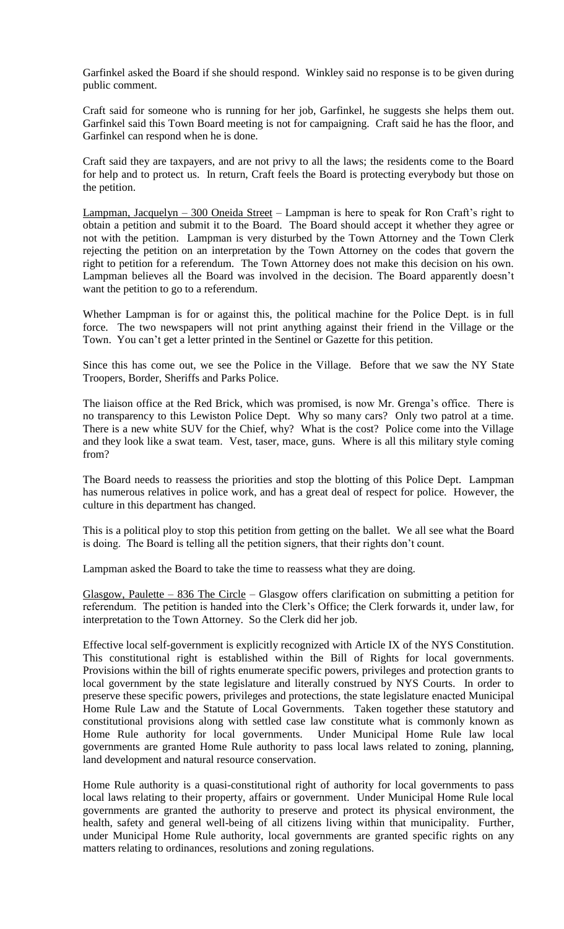Garfinkel asked the Board if she should respond. Winkley said no response is to be given during public comment.

Craft said for someone who is running for her job, Garfinkel, he suggests she helps them out. Garfinkel said this Town Board meeting is not for campaigning. Craft said he has the floor, and Garfinkel can respond when he is done.

Craft said they are taxpayers, and are not privy to all the laws; the residents come to the Board for help and to protect us. In return, Craft feels the Board is protecting everybody but those on the petition.

Lampman, Jacquelyn – 300 Oneida Street – Lampman is here to speak for Ron Craft's right to obtain a petition and submit it to the Board. The Board should accept it whether they agree or not with the petition. Lampman is very disturbed by the Town Attorney and the Town Clerk rejecting the petition on an interpretation by the Town Attorney on the codes that govern the right to petition for a referendum. The Town Attorney does not make this decision on his own. Lampman believes all the Board was involved in the decision. The Board apparently doesn't want the petition to go to a referendum.

Whether Lampman is for or against this, the political machine for the Police Dept. is in full force. The two newspapers will not print anything against their friend in the Village or the Town. You can't get a letter printed in the Sentinel or Gazette for this petition.

Since this has come out, we see the Police in the Village. Before that we saw the NY State Troopers, Border, Sheriffs and Parks Police.

The liaison office at the Red Brick, which was promised, is now Mr. Grenga's office. There is no transparency to this Lewiston Police Dept. Why so many cars? Only two patrol at a time. There is a new white SUV for the Chief, why? What is the cost? Police come into the Village and they look like a swat team. Vest, taser, mace, guns. Where is all this military style coming from?

The Board needs to reassess the priorities and stop the blotting of this Police Dept. Lampman has numerous relatives in police work, and has a great deal of respect for police. However, the culture in this department has changed.

This is a political ploy to stop this petition from getting on the ballet. We all see what the Board is doing. The Board is telling all the petition signers, that their rights don't count.

Lampman asked the Board to take the time to reassess what they are doing.

Glasgow, Paulette – 836 The Circle – Glasgow offers clarification on submitting a petition for referendum. The petition is handed into the Clerk's Office; the Clerk forwards it, under law, for interpretation to the Town Attorney. So the Clerk did her job.

Effective local self-government is explicitly recognized with Article IX of the NYS Constitution. This constitutional right is established within the Bill of Rights for local governments. Provisions within the bill of rights enumerate specific powers, privileges and protection grants to local government by the state legislature and literally construed by NYS Courts. In order to preserve these specific powers, privileges and protections, the state legislature enacted Municipal Home Rule Law and the Statute of Local Governments. Taken together these statutory and constitutional provisions along with settled case law constitute what is commonly known as Home Rule authority for local governments. Under Municipal Home Rule law local governments are granted Home Rule authority to pass local laws related to zoning, planning, land development and natural resource conservation.

Home Rule authority is a quasi-constitutional right of authority for local governments to pass local laws relating to their property, affairs or government. Under Municipal Home Rule local governments are granted the authority to preserve and protect its physical environment, the health, safety and general well-being of all citizens living within that municipality. Further, under Municipal Home Rule authority, local governments are granted specific rights on any matters relating to ordinances, resolutions and zoning regulations.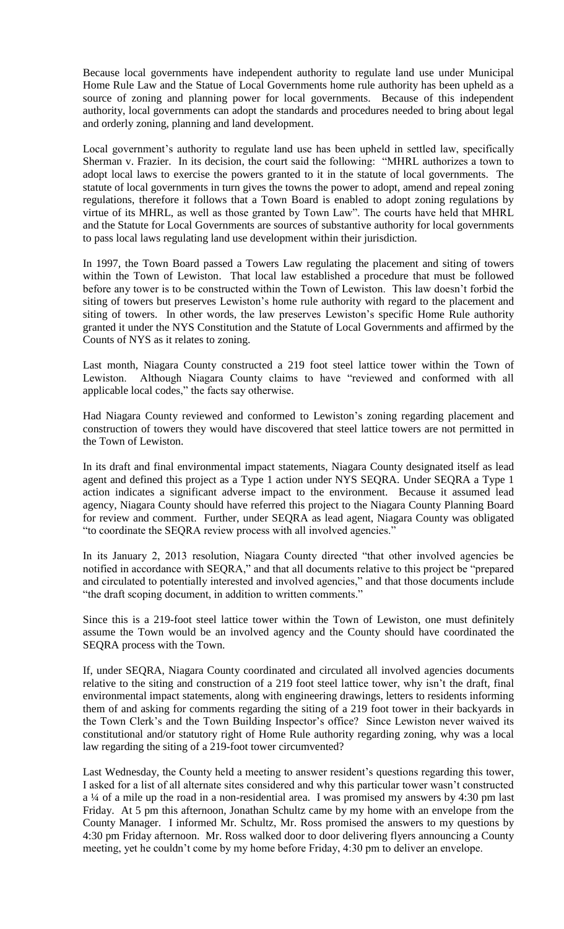Because local governments have independent authority to regulate land use under Municipal Home Rule Law and the Statue of Local Governments home rule authority has been upheld as a source of zoning and planning power for local governments. Because of this independent authority, local governments can adopt the standards and procedures needed to bring about legal and orderly zoning, planning and land development.

Local government's authority to regulate land use has been upheld in settled law, specifically Sherman v. Frazier. In its decision, the court said the following: "MHRL authorizes a town to adopt local laws to exercise the powers granted to it in the statute of local governments. The statute of local governments in turn gives the towns the power to adopt, amend and repeal zoning regulations, therefore it follows that a Town Board is enabled to adopt zoning regulations by virtue of its MHRL, as well as those granted by Town Law". The courts have held that MHRL and the Statute for Local Governments are sources of substantive authority for local governments to pass local laws regulating land use development within their jurisdiction.

In 1997, the Town Board passed a Towers Law regulating the placement and siting of towers within the Town of Lewiston. That local law established a procedure that must be followed before any tower is to be constructed within the Town of Lewiston. This law doesn't forbid the siting of towers but preserves Lewiston's home rule authority with regard to the placement and siting of towers. In other words, the law preserves Lewiston's specific Home Rule authority granted it under the NYS Constitution and the Statute of Local Governments and affirmed by the Counts of NYS as it relates to zoning.

Last month, Niagara County constructed a 219 foot steel lattice tower within the Town of Lewiston. Although Niagara County claims to have "reviewed and conformed with all applicable local codes," the facts say otherwise.

Had Niagara County reviewed and conformed to Lewiston's zoning regarding placement and construction of towers they would have discovered that steel lattice towers are not permitted in the Town of Lewiston.

In its draft and final environmental impact statements, Niagara County designated itself as lead agent and defined this project as a Type 1 action under NYS SEQRA. Under SEQRA a Type 1 action indicates a significant adverse impact to the environment. Because it assumed lead agency, Niagara County should have referred this project to the Niagara County Planning Board for review and comment. Further, under SEQRA as lead agent, Niagara County was obligated "to coordinate the SEQRA review process with all involved agencies."

In its January 2, 2013 resolution, Niagara County directed "that other involved agencies be notified in accordance with SEQRA," and that all documents relative to this project be "prepared and circulated to potentially interested and involved agencies," and that those documents include "the draft scoping document, in addition to written comments."

Since this is a 219-foot steel lattice tower within the Town of Lewiston, one must definitely assume the Town would be an involved agency and the County should have coordinated the SEQRA process with the Town.

If, under SEQRA, Niagara County coordinated and circulated all involved agencies documents relative to the siting and construction of a 219 foot steel lattice tower, why isn't the draft, final environmental impact statements, along with engineering drawings, letters to residents informing them of and asking for comments regarding the siting of a 219 foot tower in their backyards in the Town Clerk's and the Town Building Inspector's office? Since Lewiston never waived its constitutional and/or statutory right of Home Rule authority regarding zoning, why was a local law regarding the siting of a 219-foot tower circumvented?

Last Wednesday, the County held a meeting to answer resident's questions regarding this tower, I asked for a list of all alternate sites considered and why this particular tower wasn't constructed a ¼ of a mile up the road in a non-residential area. I was promised my answers by 4:30 pm last Friday. At 5 pm this afternoon, Jonathan Schultz came by my home with an envelope from the County Manager. I informed Mr. Schultz, Mr. Ross promised the answers to my questions by 4:30 pm Friday afternoon. Mr. Ross walked door to door delivering flyers announcing a County meeting, yet he couldn't come by my home before Friday, 4:30 pm to deliver an envelope.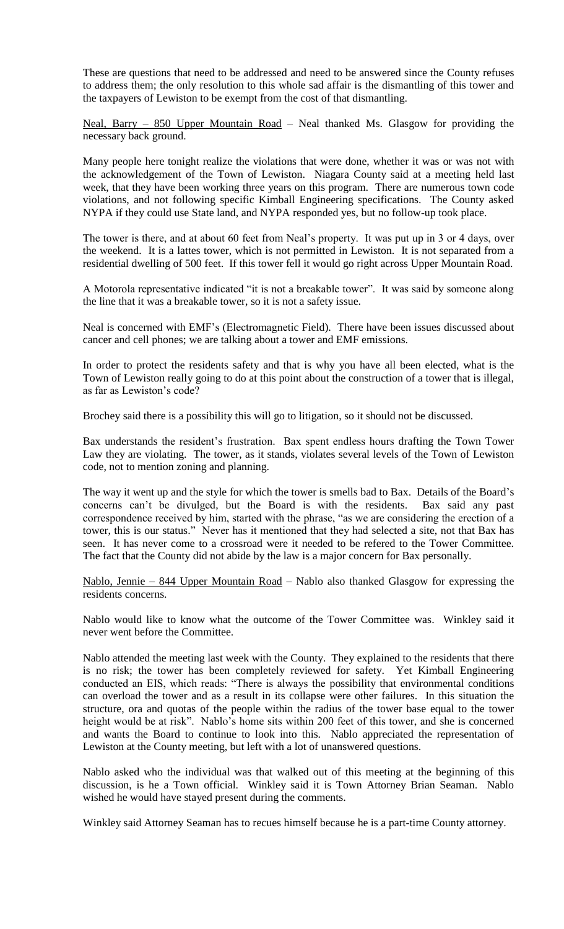These are questions that need to be addressed and need to be answered since the County refuses to address them; the only resolution to this whole sad affair is the dismantling of this tower and the taxpayers of Lewiston to be exempt from the cost of that dismantling.

Neal, Barry - 850 Upper Mountain Road - Neal thanked Ms. Glasgow for providing the necessary back ground.

Many people here tonight realize the violations that were done, whether it was or was not with the acknowledgement of the Town of Lewiston. Niagara County said at a meeting held last week, that they have been working three years on this program. There are numerous town code violations, and not following specific Kimball Engineering specifications. The County asked NYPA if they could use State land, and NYPA responded yes, but no follow-up took place.

The tower is there, and at about 60 feet from Neal's property. It was put up in 3 or 4 days, over the weekend. It is a lattes tower, which is not permitted in Lewiston. It is not separated from a residential dwelling of 500 feet. If this tower fell it would go right across Upper Mountain Road.

A Motorola representative indicated "it is not a breakable tower". It was said by someone along the line that it was a breakable tower, so it is not a safety issue.

Neal is concerned with EMF's (Electromagnetic Field). There have been issues discussed about cancer and cell phones; we are talking about a tower and EMF emissions.

In order to protect the residents safety and that is why you have all been elected, what is the Town of Lewiston really going to do at this point about the construction of a tower that is illegal, as far as Lewiston's code?

Brochey said there is a possibility this will go to litigation, so it should not be discussed.

Bax understands the resident's frustration. Bax spent endless hours drafting the Town Tower Law they are violating. The tower, as it stands, violates several levels of the Town of Lewiston code, not to mention zoning and planning.

The way it went up and the style for which the tower is smells bad to Bax. Details of the Board's concerns can't be divulged, but the Board is with the residents. Bax said any past correspondence received by him, started with the phrase, "as we are considering the erection of a tower, this is our status." Never has it mentioned that they had selected a site, not that Bax has seen. It has never come to a crossroad were it needed to be refered to the Tower Committee. The fact that the County did not abide by the law is a major concern for Bax personally.

Nablo, Jennie – 844 Upper Mountain Road – Nablo also thanked Glasgow for expressing the residents concerns.

Nablo would like to know what the outcome of the Tower Committee was. Winkley said it never went before the Committee.

Nablo attended the meeting last week with the County. They explained to the residents that there is no risk; the tower has been completely reviewed for safety. Yet Kimball Engineering conducted an EIS, which reads: "There is always the possibility that environmental conditions can overload the tower and as a result in its collapse were other failures. In this situation the structure, ora and quotas of the people within the radius of the tower base equal to the tower height would be at risk". Nablo's home sits within 200 feet of this tower, and she is concerned and wants the Board to continue to look into this. Nablo appreciated the representation of Lewiston at the County meeting, but left with a lot of unanswered questions.

Nablo asked who the individual was that walked out of this meeting at the beginning of this discussion, is he a Town official. Winkley said it is Town Attorney Brian Seaman. Nablo wished he would have stayed present during the comments.

Winkley said Attorney Seaman has to recues himself because he is a part-time County attorney.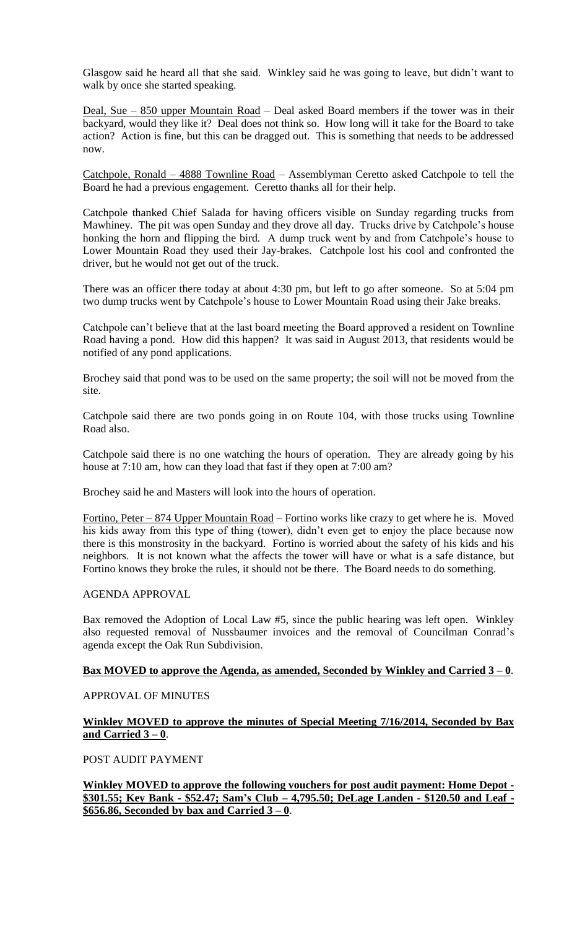Glasgow said he heard all that she said. Winkley said he was going to leave, but didn't want to walk by once she started speaking.

Deal, Sue – 850 upper Mountain Road – Deal asked Board members if the tower was in their backyard, would they like it? Deal does not think so. How long will it take for the Board to take action? Action is fine, but this can be dragged out. This is something that needs to be addressed now.

Catchpole, Ronald – 4888 Townline Road – Assemblyman Ceretto asked Catchpole to tell the Board he had a previous engagement. Ceretto thanks all for their help.

Catchpole thanked Chief Salada for having officers visible on Sunday regarding trucks from Mawhiney. The pit was open Sunday and they drove all day. Trucks drive by Catchpole's house honking the horn and flipping the bird. A dump truck went by and from Catchpole's house to Lower Mountain Road they used their Jay-brakes. Catchpole lost his cool and confronted the driver, but he would not get out of the truck.

There was an officer there today at about 4:30 pm, but left to go after someone. So at 5:04 pm two dump trucks went by Catchpole's house to Lower Mountain Road using their Jake breaks.

Catchpole can't believe that at the last board meeting the Board approved a resident on Townline Road having a pond. How did this happen? It was said in August 2013, that residents would be notified of any pond applications.

Brochey said that pond was to be used on the same property; the soil will not be moved from the site.

Catchpole said there are two ponds going in on Route 104, with those trucks using Townline Road also.

Catchpole said there is no one watching the hours of operation. They are already going by his house at 7:10 am, how can they load that fast if they open at 7:00 am?

Brochey said he and Masters will look into the hours of operation.

Fortino, Peter – 874 Upper Mountain Road – Fortino works like crazy to get where he is. Moved his kids away from this type of thing (tower), didn't even get to enjoy the place because now there is this monstrosity in the backyard. Fortino is worried about the safety of his kids and his neighbors. It is not known what the affects the tower will have or what is a safe distance, but Fortino knows they broke the rules, it should not be there. The Board needs to do something.

#### AGENDA APPROVAL

Bax removed the Adoption of Local Law #5, since the public hearing was left open. Winkley also requested removal of Nussbaumer invoices and the removal of Councilman Conrad's agenda except the Oak Run Subdivision.

#### **Bax MOVED to approve the Agenda, as amended, Seconded by Winkley and Carried 3 – 0**.

# APPROVAL OF MINUTES

## **Winkley MOVED to approve the minutes of Special Meeting 7/16/2014, Seconded by Bax and Carried 3 – 0**.

POST AUDIT PAYMENT

**Winkley MOVED to approve the following vouchers for post audit payment: Home Depot - \$301.55; Key Bank - \$52.47; Sam's Club – 4,795.50; DeLage Landen - \$120.50 and Leaf - \$656.86, Seconded by bax and Carried 3 – 0**.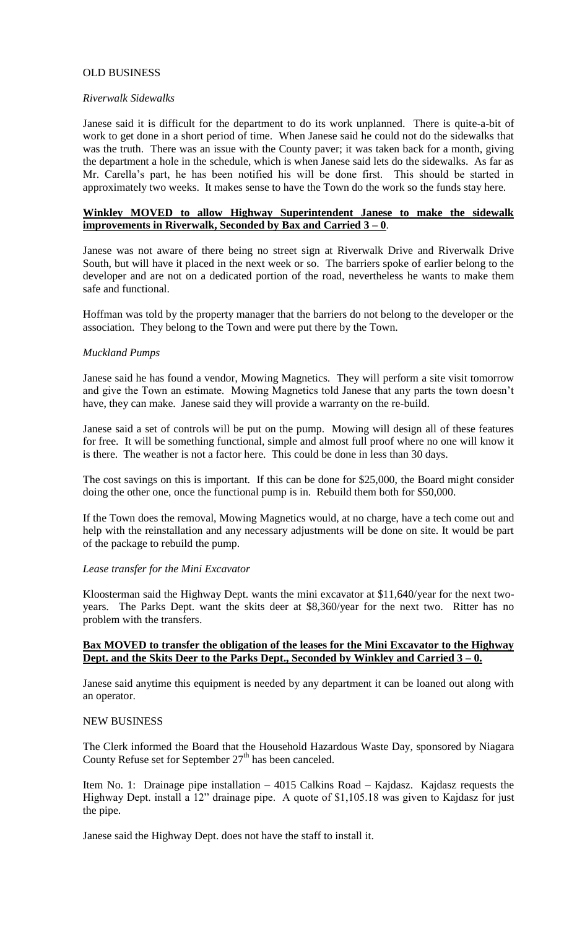## OLD BUSINESS

#### *Riverwalk Sidewalks*

Janese said it is difficult for the department to do its work unplanned. There is quite-a-bit of work to get done in a short period of time. When Janese said he could not do the sidewalks that was the truth. There was an issue with the County paver; it was taken back for a month, giving the department a hole in the schedule, which is when Janese said lets do the sidewalks. As far as Mr. Carella's part, he has been notified his will be done first. This should be started in approximately two weeks. It makes sense to have the Town do the work so the funds stay here.

## **Winkley MOVED to allow Highway Superintendent Janese to make the sidewalk improvements in Riverwalk, Seconded by Bax and Carried 3 – 0**.

Janese was not aware of there being no street sign at Riverwalk Drive and Riverwalk Drive South, but will have it placed in the next week or so. The barriers spoke of earlier belong to the developer and are not on a dedicated portion of the road, nevertheless he wants to make them safe and functional.

Hoffman was told by the property manager that the barriers do not belong to the developer or the association. They belong to the Town and were put there by the Town.

#### *Muckland Pumps*

Janese said he has found a vendor, Mowing Magnetics. They will perform a site visit tomorrow and give the Town an estimate. Mowing Magnetics told Janese that any parts the town doesn't have, they can make. Janese said they will provide a warranty on the re-build.

Janese said a set of controls will be put on the pump. Mowing will design all of these features for free. It will be something functional, simple and almost full proof where no one will know it is there. The weather is not a factor here. This could be done in less than 30 days.

The cost savings on this is important. If this can be done for \$25,000, the Board might consider doing the other one, once the functional pump is in. Rebuild them both for \$50,000.

If the Town does the removal, Mowing Magnetics would, at no charge, have a tech come out and help with the reinstallation and any necessary adjustments will be done on site. It would be part of the package to rebuild the pump.

#### *Lease transfer for the Mini Excavator*

Kloosterman said the Highway Dept. wants the mini excavator at \$11,640/year for the next twoyears. The Parks Dept. want the skits deer at \$8,360/year for the next two. Ritter has no problem with the transfers.

# **Bax MOVED to transfer the obligation of the leases for the Mini Excavator to the Highway Dept. and the Skits Deer to the Parks Dept., Seconded by Winkley and Carried 3 – 0.**

Janese said anytime this equipment is needed by any department it can be loaned out along with an operator.

#### NEW BUSINESS

The Clerk informed the Board that the Household Hazardous Waste Day, sponsored by Niagara County Refuse set for September  $27<sup>th</sup>$  has been canceled.

Item No. 1: Drainage pipe installation – 4015 Calkins Road – Kajdasz. Kajdasz requests the Highway Dept. install a 12" drainage pipe. A quote of \$1,105.18 was given to Kajdasz for just the pipe.

Janese said the Highway Dept. does not have the staff to install it.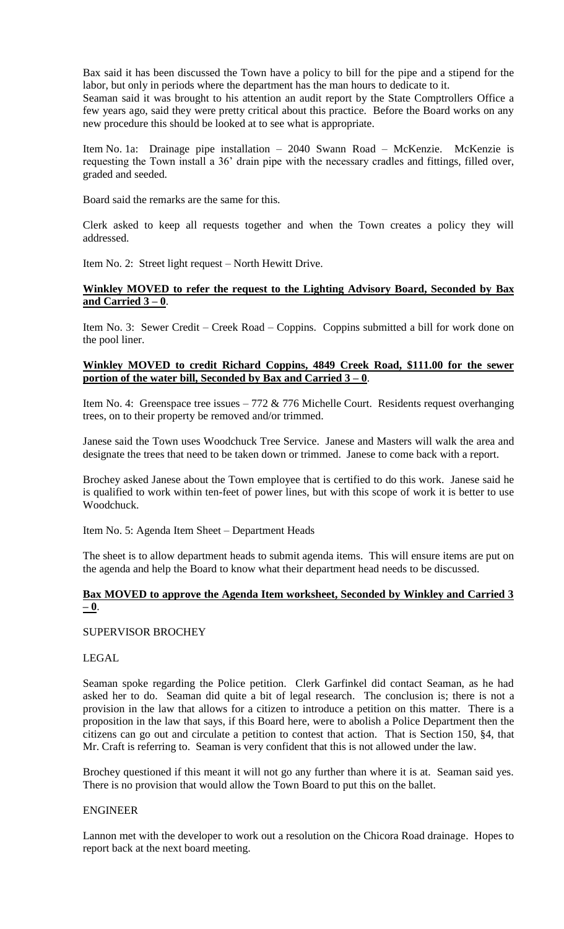Bax said it has been discussed the Town have a policy to bill for the pipe and a stipend for the labor, but only in periods where the department has the man hours to dedicate to it.

Seaman said it was brought to his attention an audit report by the State Comptrollers Office a few years ago, said they were pretty critical about this practice. Before the Board works on any new procedure this should be looked at to see what is appropriate.

Item No. 1a: Drainage pipe installation – 2040 Swann Road – McKenzie. McKenzie is requesting the Town install a 36' drain pipe with the necessary cradles and fittings, filled over, graded and seeded.

Board said the remarks are the same for this.

Clerk asked to keep all requests together and when the Town creates a policy they will addressed.

Item No. 2: Street light request – North Hewitt Drive.

# **Winkley MOVED to refer the request to the Lighting Advisory Board, Seconded by Bax and Carried 3 – 0**.

Item No. 3: Sewer Credit – Creek Road – Coppins. Coppins submitted a bill for work done on the pool liner.

# **Winkley MOVED to credit Richard Coppins, 4849 Creek Road, \$111.00 for the sewer portion of the water bill, Seconded by Bax and Carried 3 – 0**.

Item No. 4: Greenspace tree issues  $-772 \& 776$  Michelle Court. Residents request overhanging trees, on to their property be removed and/or trimmed.

Janese said the Town uses Woodchuck Tree Service. Janese and Masters will walk the area and designate the trees that need to be taken down or trimmed. Janese to come back with a report.

Brochey asked Janese about the Town employee that is certified to do this work. Janese said he is qualified to work within ten-feet of power lines, but with this scope of work it is better to use Woodchuck.

Item No. 5: Agenda Item Sheet – Department Heads

The sheet is to allow department heads to submit agenda items. This will ensure items are put on the agenda and help the Board to know what their department head needs to be discussed.

# **Bax MOVED to approve the Agenda Item worksheet, Seconded by Winkley and Carried 3 – 0**.

# SUPERVISOR BROCHEY

# LEGAL

Seaman spoke regarding the Police petition. Clerk Garfinkel did contact Seaman, as he had asked her to do. Seaman did quite a bit of legal research. The conclusion is; there is not a provision in the law that allows for a citizen to introduce a petition on this matter. There is a proposition in the law that says, if this Board here, were to abolish a Police Department then the citizens can go out and circulate a petition to contest that action. That is Section 150, §4, that Mr. Craft is referring to. Seaman is very confident that this is not allowed under the law.

Brochey questioned if this meant it will not go any further than where it is at. Seaman said yes. There is no provision that would allow the Town Board to put this on the ballet.

#### ENGINEER

Lannon met with the developer to work out a resolution on the Chicora Road drainage. Hopes to report back at the next board meeting.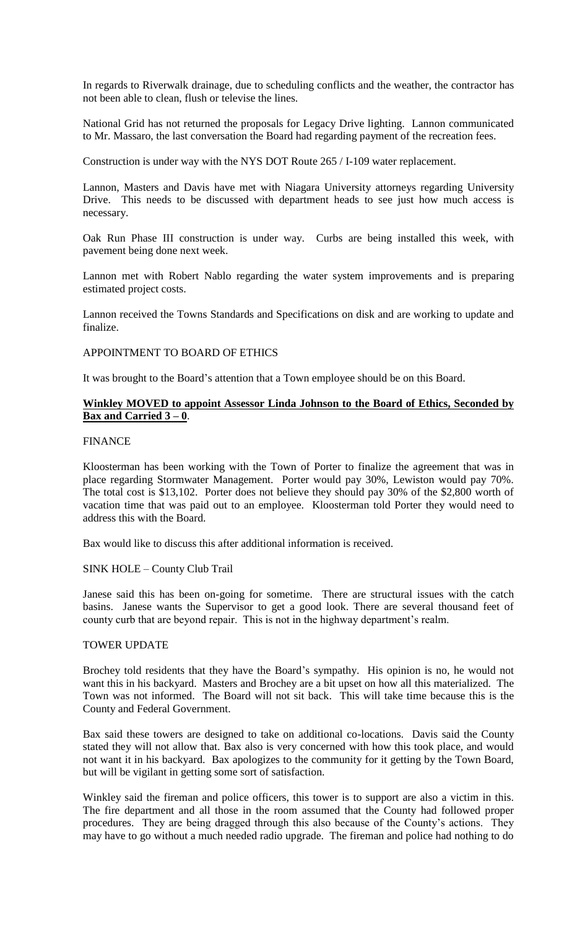In regards to Riverwalk drainage, due to scheduling conflicts and the weather, the contractor has not been able to clean, flush or televise the lines.

National Grid has not returned the proposals for Legacy Drive lighting. Lannon communicated to Mr. Massaro, the last conversation the Board had regarding payment of the recreation fees.

Construction is under way with the NYS DOT Route 265 / I-109 water replacement.

Lannon, Masters and Davis have met with Niagara University attorneys regarding University Drive. This needs to be discussed with department heads to see just how much access is necessary.

Oak Run Phase III construction is under way. Curbs are being installed this week, with pavement being done next week.

Lannon met with Robert Nablo regarding the water system improvements and is preparing estimated project costs.

Lannon received the Towns Standards and Specifications on disk and are working to update and finalize.

#### APPOINTMENT TO BOARD OF ETHICS

It was brought to the Board's attention that a Town employee should be on this Board.

# **Winkley MOVED to appoint Assessor Linda Johnson to the Board of Ethics, Seconded by Bax and Carried 3 – 0**.

## FINANCE

Kloosterman has been working with the Town of Porter to finalize the agreement that was in place regarding Stormwater Management. Porter would pay 30%, Lewiston would pay 70%. The total cost is \$13,102. Porter does not believe they should pay 30% of the \$2,800 worth of vacation time that was paid out to an employee. Kloosterman told Porter they would need to address this with the Board.

Bax would like to discuss this after additional information is received.

#### SINK HOLE – County Club Trail

Janese said this has been on-going for sometime. There are structural issues with the catch basins. Janese wants the Supervisor to get a good look. There are several thousand feet of county curb that are beyond repair. This is not in the highway department's realm.

#### TOWER UPDATE

Brochey told residents that they have the Board's sympathy. His opinion is no, he would not want this in his backyard. Masters and Brochey are a bit upset on how all this materialized. The Town was not informed. The Board will not sit back. This will take time because this is the County and Federal Government.

Bax said these towers are designed to take on additional co-locations. Davis said the County stated they will not allow that. Bax also is very concerned with how this took place, and would not want it in his backyard. Bax apologizes to the community for it getting by the Town Board, but will be vigilant in getting some sort of satisfaction.

Winkley said the fireman and police officers, this tower is to support are also a victim in this. The fire department and all those in the room assumed that the County had followed proper procedures. They are being dragged through this also because of the County's actions. They may have to go without a much needed radio upgrade. The fireman and police had nothing to do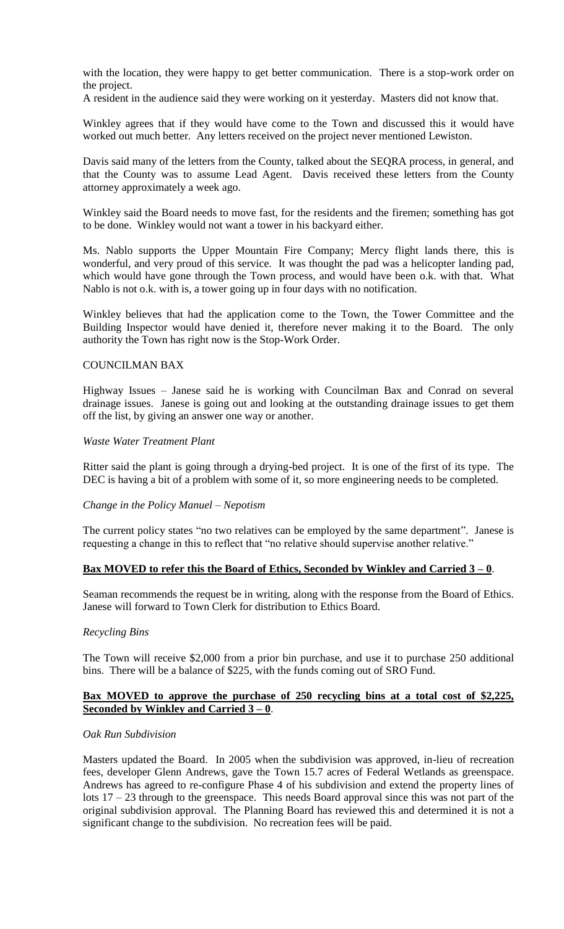with the location, they were happy to get better communication. There is a stop-work order on the project.

A resident in the audience said they were working on it yesterday. Masters did not know that.

Winkley agrees that if they would have come to the Town and discussed this it would have worked out much better. Any letters received on the project never mentioned Lewiston.

Davis said many of the letters from the County, talked about the SEQRA process, in general, and that the County was to assume Lead Agent. Davis received these letters from the County attorney approximately a week ago.

Winkley said the Board needs to move fast, for the residents and the firemen; something has got to be done. Winkley would not want a tower in his backyard either.

Ms. Nablo supports the Upper Mountain Fire Company; Mercy flight lands there, this is wonderful, and very proud of this service. It was thought the pad was a helicopter landing pad, which would have gone through the Town process, and would have been o.k. with that. What Nablo is not o.k. with is, a tower going up in four days with no notification.

Winkley believes that had the application come to the Town, the Tower Committee and the Building Inspector would have denied it, therefore never making it to the Board. The only authority the Town has right now is the Stop-Work Order.

## COUNCILMAN BAX

Highway Issues – Janese said he is working with Councilman Bax and Conrad on several drainage issues. Janese is going out and looking at the outstanding drainage issues to get them off the list, by giving an answer one way or another.

#### *Waste Water Treatment Plant*

Ritter said the plant is going through a drying-bed project. It is one of the first of its type. The DEC is having a bit of a problem with some of it, so more engineering needs to be completed.

# *Change in the Policy Manuel – Nepotism*

The current policy states "no two relatives can be employed by the same department". Janese is requesting a change in this to reflect that "no relative should supervise another relative."

# **Bax MOVED to refer this the Board of Ethics, Seconded by Winkley and Carried 3 – 0**.

Seaman recommends the request be in writing, along with the response from the Board of Ethics. Janese will forward to Town Clerk for distribution to Ethics Board.

# *Recycling Bins*

The Town will receive \$2,000 from a prior bin purchase, and use it to purchase 250 additional bins. There will be a balance of \$225, with the funds coming out of SRO Fund.

## **Bax MOVED to approve the purchase of 250 recycling bins at a total cost of \$2,225, Seconded by Winkley and Carried 3 – 0**.

#### *Oak Run Subdivision*

Masters updated the Board. In 2005 when the subdivision was approved, in-lieu of recreation fees, developer Glenn Andrews, gave the Town 15.7 acres of Federal Wetlands as greenspace. Andrews has agreed to re-configure Phase 4 of his subdivision and extend the property lines of lots  $17 - 23$  through to the greenspace. This needs Board approval since this was not part of the original subdivision approval. The Planning Board has reviewed this and determined it is not a significant change to the subdivision. No recreation fees will be paid.